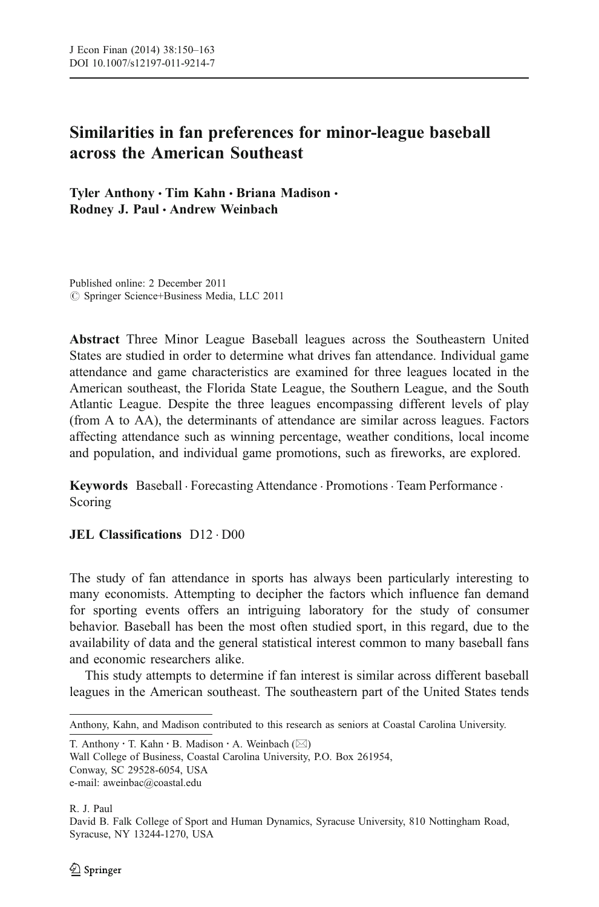# Similarities in fan preferences for minor-league baseball across the American Southeast

Tyler Anthony . Tim Kahn . Briana Madison . Rodney J. Paul · Andrew Weinbach

Published online: 2 December 2011  $\oslash$  Springer Science+Business Media, LLC 2011

Abstract Three Minor League Baseball leagues across the Southeastern United States are studied in order to determine what drives fan attendance. Individual game attendance and game characteristics are examined for three leagues located in the American southeast, the Florida State League, the Southern League, and the South Atlantic League. Despite the three leagues encompassing different levels of play (from A to AA), the determinants of attendance are similar across leagues. Factors affecting attendance such as winning percentage, weather conditions, local income and population, and individual game promotions, such as fireworks, are explored.

Keywords Baseball . Forecasting Attendance . Promotions . Team Performance . Scoring

JEL Classifications D12 . D00

The study of fan attendance in sports has always been particularly interesting to many economists. Attempting to decipher the factors which influence fan demand for sporting events offers an intriguing laboratory for the study of consumer behavior. Baseball has been the most often studied sport, in this regard, due to the availability of data and the general statistical interest common to many baseball fans and economic researchers alike.

This study attempts to determine if fan interest is similar across different baseball leagues in the American southeast. The southeastern part of the United States tends

T. Anthony  $\cdot$  T. Kahn  $\cdot$  B. Madison  $\cdot$  A. Weinbach ( $\boxtimes$ )

Wall College of Business, Coastal Carolina University, P.O. Box 261954, Conway, SC 29528-6054, USA

R. J. Paul

Anthony, Kahn, and Madison contributed to this research as seniors at Coastal Carolina University.

e-mail: aweinbac@coastal.edu

David B. Falk College of Sport and Human Dynamics, Syracuse University, 810 Nottingham Road, Syracuse, NY 13244-1270, USA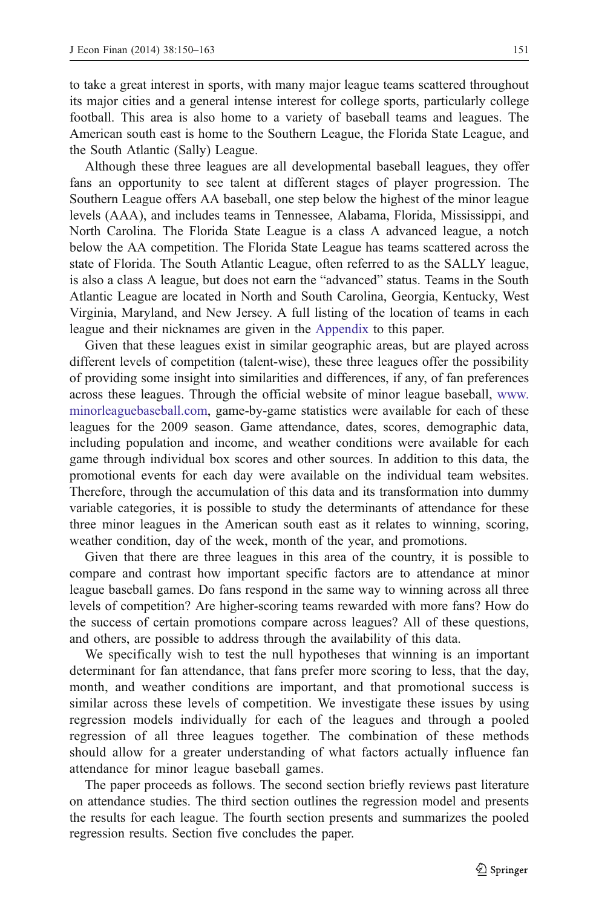to take a great interest in sports, with many major league teams scattered throughout

its major cities and a general intense interest for college sports, particularly college football. This area is also home to a variety of baseball teams and leagues. The American south east is home to the Southern League, the Florida State League, and the South Atlantic (Sally) League.

Although these three leagues are all developmental baseball leagues, they offer fans an opportunity to see talent at different stages of player progression. The Southern League offers AA baseball, one step below the highest of the minor league levels (AAA), and includes teams in Tennessee, Alabama, Florida, Mississippi, and North Carolina. The Florida State League is a class A advanced league, a notch below the AA competition. The Florida State League has teams scattered across the state of Florida. The South Atlantic League, often referred to as the SALLY league, is also a class A league, but does not earn the "advanced" status. Teams in the South Atlantic League are located in North and South Carolina, Georgia, Kentucky, West Virginia, Maryland, and New Jersey. A full listing of the location of teams in each league and their nicknames are given in the [Appendix](#page-12-0) to this paper.

Given that these leagues exist in similar geographic areas, but are played across different levels of competition (talent-wise), these three leagues offer the possibility of providing some insight into similarities and differences, if any, of fan preferences across these leagues. Through the official website of minor league baseball, [www.](http://www.minorleaguebaseball.com) [minorleaguebaseball.com](http://www.minorleaguebaseball.com), game-by-game statistics were available for each of these leagues for the 2009 season. Game attendance, dates, scores, demographic data, including population and income, and weather conditions were available for each game through individual box scores and other sources. In addition to this data, the promotional events for each day were available on the individual team websites. Therefore, through the accumulation of this data and its transformation into dummy variable categories, it is possible to study the determinants of attendance for these three minor leagues in the American south east as it relates to winning, scoring, weather condition, day of the week, month of the year, and promotions.

Given that there are three leagues in this area of the country, it is possible to compare and contrast how important specific factors are to attendance at minor league baseball games. Do fans respond in the same way to winning across all three levels of competition? Are higher-scoring teams rewarded with more fans? How do the success of certain promotions compare across leagues? All of these questions, and others, are possible to address through the availability of this data.

We specifically wish to test the null hypotheses that winning is an important determinant for fan attendance, that fans prefer more scoring to less, that the day, month, and weather conditions are important, and that promotional success is similar across these levels of competition. We investigate these issues by using regression models individually for each of the leagues and through a pooled regression of all three leagues together. The combination of these methods should allow for a greater understanding of what factors actually influence fan attendance for minor league baseball games.

The paper proceeds as follows. The second section briefly reviews past literature on attendance studies. The third section outlines the regression model and presents the results for each league. The fourth section presents and summarizes the pooled regression results. Section five concludes the paper.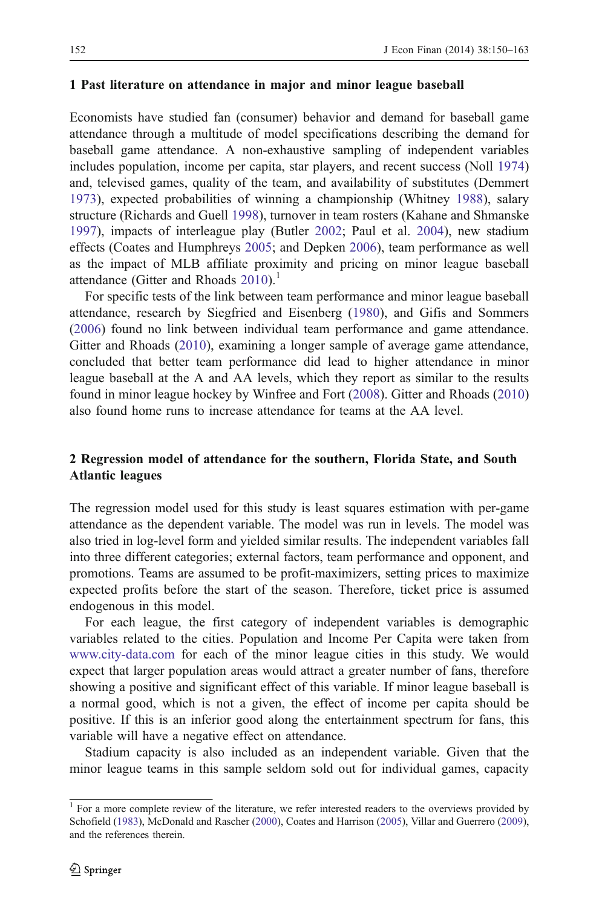### 1 Past literature on attendance in major and minor league baseball

Economists have studied fan (consumer) behavior and demand for baseball game attendance through a multitude of model specifications describing the demand for baseball game attendance. A non-exhaustive sampling of independent variables includes population, income per capita, star players, and recent success (Noll [1974](#page-13-0)) and, televised games, quality of the team, and availability of substitutes (Demmert [1973\)](#page-12-0), expected probabilities of winning a championship (Whitney [1988\)](#page-13-0), salary structure (Richards and Guell [1998](#page-13-0)), turnover in team rosters (Kahane and Shmanske [1997\)](#page-13-0), impacts of interleague play (Butler [2002](#page-12-0); Paul et al. [2004\)](#page-13-0), new stadium effects (Coates and Humphreys [2005;](#page-12-0) and Depken [2006\)](#page-12-0), team performance as well as the impact of MLB affiliate proximity and pricing on minor league baseball attendance (Gitter and Rhoads  $2010$ ).<sup>1</sup>

For specific tests of the link between team performance and minor league baseball attendance, research by Siegfried and Eisenberg ([1980\)](#page-13-0), and Gifis and Sommers [\(2006](#page-12-0)) found no link between individual team performance and game attendance. Gitter and Rhoads [\(2010](#page-12-0)), examining a longer sample of average game attendance, concluded that better team performance did lead to higher attendance in minor league baseball at the A and AA levels, which they report as similar to the results found in minor league hockey by Winfree and Fort ([2008\)](#page-13-0). Gitter and Rhoads [\(2010](#page-12-0)) also found home runs to increase attendance for teams at the AA level.

### 2 Regression model of attendance for the southern, Florida State, and South Atlantic leagues

The regression model used for this study is least squares estimation with per-game attendance as the dependent variable. The model was run in levels. The model was also tried in log-level form and yielded similar results. The independent variables fall into three different categories; external factors, team performance and opponent, and promotions. Teams are assumed to be profit-maximizers, setting prices to maximize expected profits before the start of the season. Therefore, ticket price is assumed endogenous in this model.

For each league, the first category of independent variables is demographic variables related to the cities. Population and Income Per Capita were taken from [www.city-data.com](http://www.city-data.com) for each of the minor league cities in this study. We would expect that larger population areas would attract a greater number of fans, therefore showing a positive and significant effect of this variable. If minor league baseball is a normal good, which is not a given, the effect of income per capita should be positive. If this is an inferior good along the entertainment spectrum for fans, this variable will have a negative effect on attendance.

Stadium capacity is also included as an independent variable. Given that the minor league teams in this sample seldom sold out for individual games, capacity

 $1$  For a more complete review of the literature, we refer interested readers to the overviews provided by Schofield ([1983\)](#page-13-0), McDonald and Rascher ([2000](#page-13-0)), Coates and Harrison [\(2005](#page-12-0)), Villar and Guerrero ([2009\)](#page-13-0), and the references therein.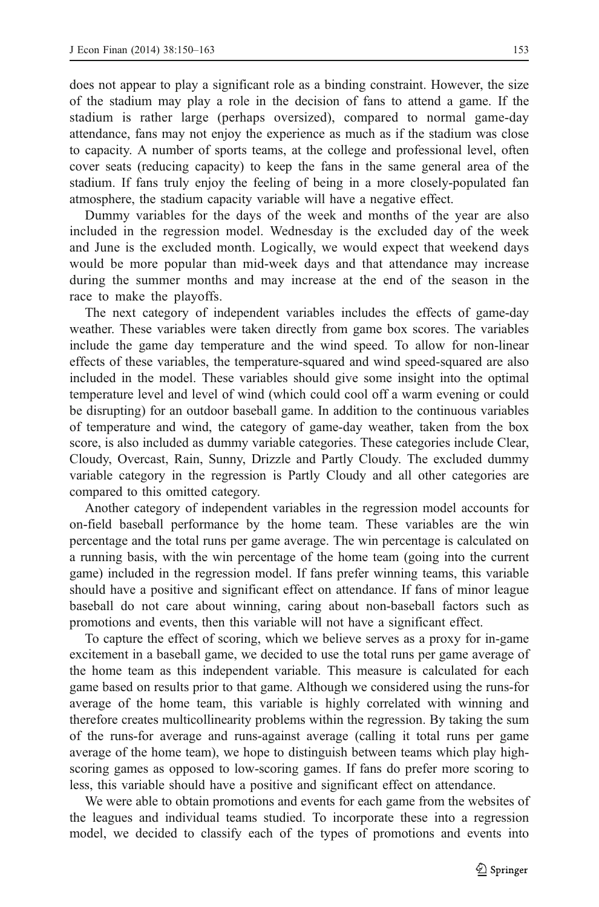does not appear to play a significant role as a binding constraint. However, the size of the stadium may play a role in the decision of fans to attend a game. If the stadium is rather large (perhaps oversized), compared to normal game-day attendance, fans may not enjoy the experience as much as if the stadium was close to capacity. A number of sports teams, at the college and professional level, often cover seats (reducing capacity) to keep the fans in the same general area of the stadium. If fans truly enjoy the feeling of being in a more closely-populated fan atmosphere, the stadium capacity variable will have a negative effect.

Dummy variables for the days of the week and months of the year are also included in the regression model. Wednesday is the excluded day of the week and June is the excluded month. Logically, we would expect that weekend days would be more popular than mid-week days and that attendance may increase during the summer months and may increase at the end of the season in the race to make the playoffs.

The next category of independent variables includes the effects of game-day weather. These variables were taken directly from game box scores. The variables include the game day temperature and the wind speed. To allow for non-linear effects of these variables, the temperature-squared and wind speed-squared are also included in the model. These variables should give some insight into the optimal temperature level and level of wind (which could cool off a warm evening or could be disrupting) for an outdoor baseball game. In addition to the continuous variables of temperature and wind, the category of game-day weather, taken from the box score, is also included as dummy variable categories. These categories include Clear, Cloudy, Overcast, Rain, Sunny, Drizzle and Partly Cloudy. The excluded dummy variable category in the regression is Partly Cloudy and all other categories are compared to this omitted category.

Another category of independent variables in the regression model accounts for on-field baseball performance by the home team. These variables are the win percentage and the total runs per game average. The win percentage is calculated on a running basis, with the win percentage of the home team (going into the current game) included in the regression model. If fans prefer winning teams, this variable should have a positive and significant effect on attendance. If fans of minor league baseball do not care about winning, caring about non-baseball factors such as promotions and events, then this variable will not have a significant effect.

To capture the effect of scoring, which we believe serves as a proxy for in-game excitement in a baseball game, we decided to use the total runs per game average of the home team as this independent variable. This measure is calculated for each game based on results prior to that game. Although we considered using the runs-for average of the home team, this variable is highly correlated with winning and therefore creates multicollinearity problems within the regression. By taking the sum of the runs-for average and runs-against average (calling it total runs per game average of the home team), we hope to distinguish between teams which play highscoring games as opposed to low-scoring games. If fans do prefer more scoring to less, this variable should have a positive and significant effect on attendance.

We were able to obtain promotions and events for each game from the websites of the leagues and individual teams studied. To incorporate these into a regression model, we decided to classify each of the types of promotions and events into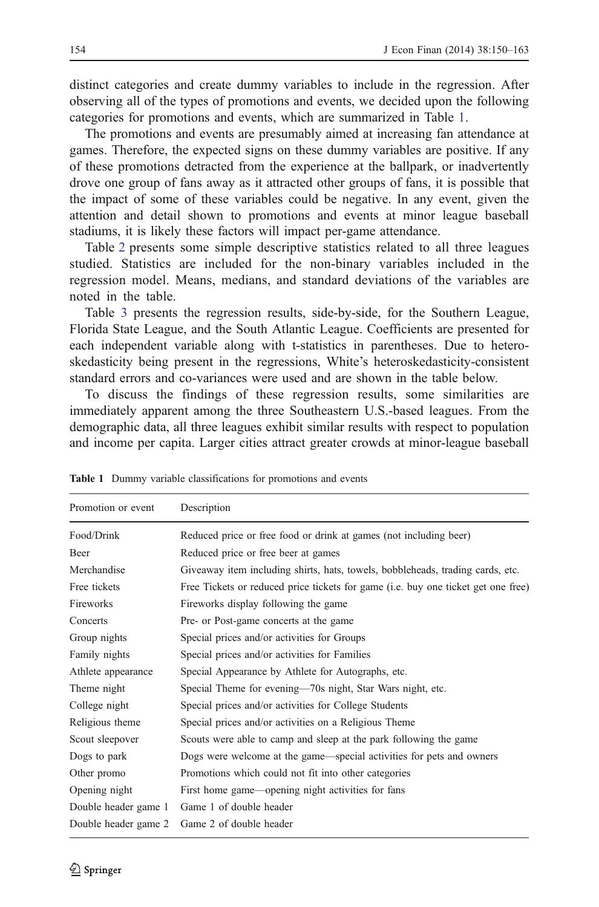distinct categories and create dummy variables to include in the regression. After observing all of the types of promotions and events, we decided upon the following categories for promotions and events, which are summarized in Table 1.

The promotions and events are presumably aimed at increasing fan attendance at games. Therefore, the expected signs on these dummy variables are positive. If any of these promotions detracted from the experience at the ballpark, or inadvertently drove one group of fans away as it attracted other groups of fans, it is possible that the impact of some of these variables could be negative. In any event, given the attention and detail shown to promotions and events at minor league baseball stadiums, it is likely these factors will impact per-game attendance.

Table [2](#page-5-0) presents some simple descriptive statistics related to all three leagues studied. Statistics are included for the non-binary variables included in the regression model. Means, medians, and standard deviations of the variables are noted in the table.

Table [3](#page-6-0) presents the regression results, side-by-side, for the Southern League, Florida State League, and the South Atlantic League. Coefficients are presented for each independent variable along with t-statistics in parentheses. Due to heteroskedasticity being present in the regressions, White's heteroskedasticity-consistent standard errors and co-variances were used and are shown in the table below.

To discuss the findings of these regression results, some similarities are immediately apparent among the three Southeastern U.S.-based leagues. From the demographic data, all three leagues exhibit similar results with respect to population and income per capita. Larger cities attract greater crowds at minor-league baseball

| Promotion or event   | Description                                                                       |
|----------------------|-----------------------------------------------------------------------------------|
| Food/Drink           | Reduced price or free food or drink at games (not including beer)                 |
| Beer                 | Reduced price or free beer at games                                               |
| Merchandise          | Giveaway item including shirts, hats, towels, bobbleheads, trading cards, etc.    |
| Free tickets         | Free Tickets or reduced price tickets for game (i.e. buy one ticket get one free) |
| Fireworks            | Fireworks display following the game                                              |
| Concerts             | Pre- or Post-game concerts at the game                                            |
| Group nights         | Special prices and/or activities for Groups                                       |
| Family nights        | Special prices and/or activities for Families                                     |
| Athlete appearance   | Special Appearance by Athlete for Autographs, etc.                                |
| Theme night          | Special Theme for evening—70s night, Star Wars night, etc.                        |
| College night        | Special prices and/or activities for College Students                             |
| Religious theme      | Special prices and/or activities on a Religious Theme                             |
| Scout sleepover      | Scouts were able to camp and sleep at the park following the game                 |
| Dogs to park         | Dogs were welcome at the game—special activities for pets and owners              |
| Other promo          | Promotions which could not fit into other categories                              |
| Opening night        | First home game—opening night activities for fans                                 |
| Double header game 1 | Game 1 of double header                                                           |
| Double header game 2 | Game 2 of double header                                                           |

|  |  |  | <b>Table 1</b> Dummy variable classifications for promotions and events |  |  |  |  |
|--|--|--|-------------------------------------------------------------------------|--|--|--|--|
|--|--|--|-------------------------------------------------------------------------|--|--|--|--|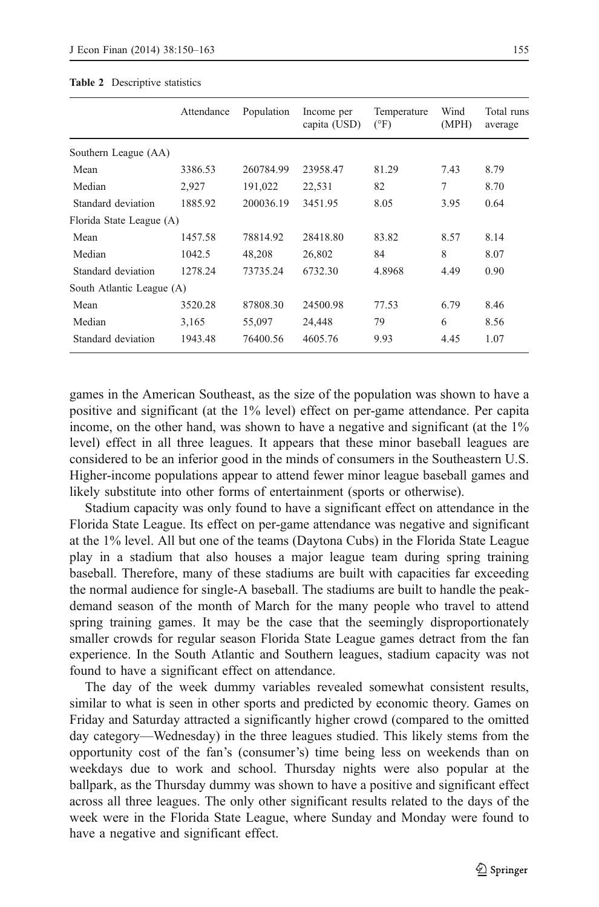|                           | Attendance | Population | Income per<br>capita (USD) | Temperature<br>$(^{\circ}F)$ | Wind<br>(MPH) | Total runs<br>average |
|---------------------------|------------|------------|----------------------------|------------------------------|---------------|-----------------------|
| Southern League (AA)      |            |            |                            |                              |               |                       |
| Mean                      | 3386.53    | 260784.99  | 23958.47                   | 81.29                        | 7.43          | 8.79                  |
| Median                    | 2,927      | 191,022    | 22,531                     | 82                           | 7             | 8.70                  |
| Standard deviation        | 1885.92    | 200036.19  | 3451.95                    | 8.05                         | 3.95          | 0.64                  |
| Florida State League (A)  |            |            |                            |                              |               |                       |
| Mean                      | 1457.58    | 78814.92   | 28418.80                   | 83.82                        | 8.57          | 8.14                  |
| Median                    | 1042.5     | 48,208     | 26,802                     | 84                           | 8             | 8.07                  |
| Standard deviation        | 1278.24    | 73735.24   | 6732.30                    | 4.8968                       | 4.49          | 0.90                  |
| South Atlantic League (A) |            |            |                            |                              |               |                       |
| Mean                      | 3520.28    | 87808.30   | 24500.98                   | 77.53                        | 6.79          | 8.46                  |
| Median                    | 3,165      | 55,097     | 24,448                     | 79                           | 6             | 8.56                  |
| Standard deviation        | 1943.48    | 76400.56   | 4605.76                    | 9.93                         | 4.45          | 1.07                  |

#### <span id="page-5-0"></span>Table 2 Descriptive statistics

games in the American Southeast, as the size of the population was shown to have a positive and significant (at the 1% level) effect on per-game attendance. Per capita income, on the other hand, was shown to have a negative and significant (at the 1% level) effect in all three leagues. It appears that these minor baseball leagues are considered to be an inferior good in the minds of consumers in the Southeastern U.S. Higher-income populations appear to attend fewer minor league baseball games and likely substitute into other forms of entertainment (sports or otherwise).

Stadium capacity was only found to have a significant effect on attendance in the Florida State League. Its effect on per-game attendance was negative and significant at the 1% level. All but one of the teams (Daytona Cubs) in the Florida State League play in a stadium that also houses a major league team during spring training baseball. Therefore, many of these stadiums are built with capacities far exceeding the normal audience for single-A baseball. The stadiums are built to handle the peakdemand season of the month of March for the many people who travel to attend spring training games. It may be the case that the seemingly disproportionately smaller crowds for regular season Florida State League games detract from the fan experience. In the South Atlantic and Southern leagues, stadium capacity was not found to have a significant effect on attendance.

The day of the week dummy variables revealed somewhat consistent results, similar to what is seen in other sports and predicted by economic theory. Games on Friday and Saturday attracted a significantly higher crowd (compared to the omitted day category—Wednesday) in the three leagues studied. This likely stems from the opportunity cost of the fan's (consumer's) time being less on weekends than on weekdays due to work and school. Thursday nights were also popular at the ballpark, as the Thursday dummy was shown to have a positive and significant effect across all three leagues. The only other significant results related to the days of the week were in the Florida State League, where Sunday and Monday were found to have a negative and significant effect.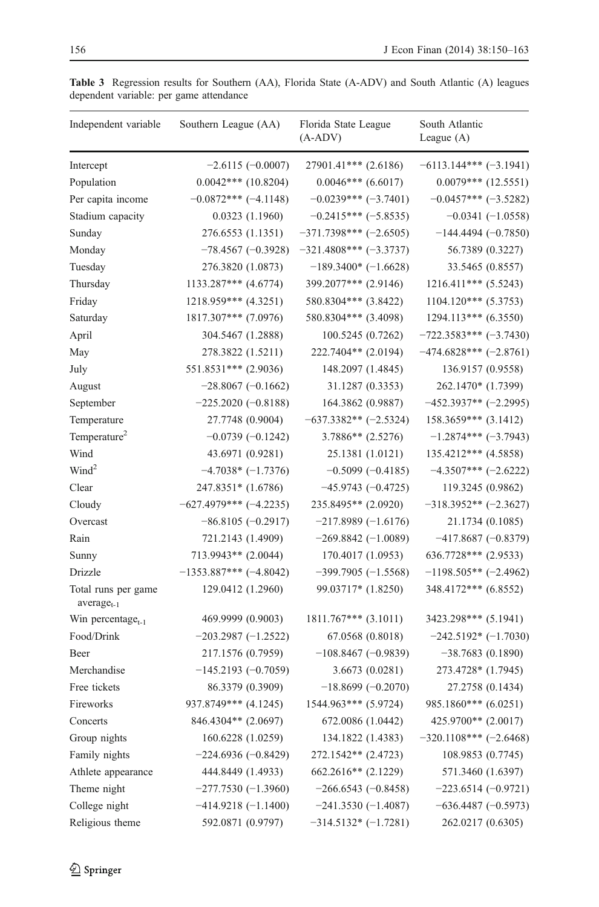| Independent variable                   | Southern League (AA)       | Florida State League<br>$(A-ADV)$ | South Atlantic<br>League $(A)$ |
|----------------------------------------|----------------------------|-----------------------------------|--------------------------------|
| Intercept                              | $-2.6115(-0.0007)$         | 27901.41*** (2.6186)              | $-6113.144***$ $(-3.1941)$     |
| Population                             | $0.0042$ *** (10.8204)     | $0.0046***$ (6.6017)              | $0.0079***$ (12.5551)          |
| Per capita income                      | $-0.0872***$ (-4.1148)     | $-0.0239***(-3.7401)$             | $-0.0457***$ (-3.5282)         |
| Stadium capacity                       | 0.0323(1.1960)             | $-0.2415***(-5.8535)$             | $-0.0341(-1.0558)$             |
| Sunday                                 | 276.6553 (1.1351)          | $-371.7398***$ (-2.6505)          | $-144.4494(-0.7850)$           |
| Monday                                 | $-78.4567(-0.3928)$        | $-321.4808***(-3.3737)$           | 56.7389 (0.3227)               |
| Tuesday                                | 276.3820 (1.0873)          | $-189.3400*$ (-1.6628)            | 33.5465 (0.8557)               |
| Thursday                               | 1133.287*** (4.6774)       | 399.2077*** (2.9146)              | $1216.411***$ (5.5243)         |
| Friday                                 | $1218.959***$ $(4.3251)$   | 580.8304*** (3.8422)              | $1104.120***$ (5.3753)         |
| Saturday                               | 1817.307*** (7.0976)       | 580.8304*** (3.4098)              | $1294.113***$ (6.3550)         |
| April                                  | 304.5467 (1.2888)          | 100.5245 (0.7262)                 | $-722.3583***(-3.7430)$        |
| May                                    | 278.3822 (1.5211)          | 222.7404** (2.0194)               | $-474.6828***$ $(-2.8761)$     |
| July                                   | 551.8531*** (2.9036)       | 148.2097 (1.4845)                 | 136.9157 (0.9558)              |
| August                                 | $-28.8067(-0.1662)$        | 31.1287 (0.3353)                  | 262.1470* (1.7399)             |
| September                              | $-225.2020(-0.8188)$       | 164.3862 (0.9887)                 | $-452.3937**(-2.2995)$         |
| Temperature                            | 27.7748 (0.9004)           | $-637.3382**(-2.5324)$            | 158.3659*** (3.1412)           |
| Temperature <sup>2</sup>               | $-0.0739(-0.1242)$         | 3.7886** (2.5276)                 | $-1.2874***$ (-3.7943)         |
| Wind                                   | 43.6971 (0.9281)           | 25.1381 (1.0121)                  | 135.4212*** (4.5858)           |
| Wind <sup>2</sup>                      | $-4.7038*(-1.7376)$        | $-0.5099(-0.4185)$                | $-4.3507***$ $(-2.6222)$       |
| Clear                                  | 247.8351* (1.6786)         | $-45.9743(-0.4725)$               | 119.3245 (0.9862)              |
| Cloudy                                 | $-627.4979***$ $(-4.2235)$ | 235.8495** (2.0920)               | $-318.3952**(-2.3627)$         |
| Overcast                               | $-86.8105(-0.2917)$        | $-217.8989(-1.6176)$              | 21.1734 (0.1085)               |
| Rain                                   | 721.2143 (1.4909)          | $-269.8842$ (-1.0089)             | $-417.8687(-0.8379)$           |
| Sunny                                  | 713.9943** (2.0044)        | 170.4017 (1.0953)                 | $636.7728***$ $(2.9533)$       |
| Drizzle                                | $-1353.887***$ (-4.8042)   | $-399.7905$ $(-1.5568)$           | $-1198.505**(-2.4962)$         |
| Total runs per game<br>$average_{t-1}$ | 129.0412 (1.2960)          | 99.03717* (1.8250)                | 348.4172*** (6.8552)           |
| Win percentage <sub>t-1</sub>          | 469.9999 (0.9003)          | $1811.767***$ (3.1011)            | 3423.298*** (5.1941)           |
| Food/Drink                             | $-203.2987(-1.2522)$       | 67.0568 (0.8018)                  | $-242.5192*(-1.7030)$          |
| Beer                                   | 217.1576 (0.7959)          | $-108.8467$ (-0.9839)             | $-38.7683(0.1890)$             |
| Merchandise                            | $-145.2193(-0.7059)$       | 3.6673 (0.0281)                   | 273.4728* (1.7945)             |
| Free tickets                           | 86.3379 (0.3909)           | $-18.8699(-0.2070)$               | 27.2758 (0.1434)               |
| Fireworks                              | 937.8749*** (4.1245)       | 1544.963*** (5.9724)              | 985.1860*** (6.0251)           |
| Concerts                               | 846.4304** (2.0697)        | 672.0086 (1.0442)                 | 425.9700** (2.0017)            |
| Group nights                           | 160.6228 (1.0259)          | 134.1822 (1.4383)                 | $-320.1108***$ (-2.6468)       |
| Family nights                          | $-224.6936(-0.8429)$       | 272.1542** (2.4723)               | 108.9853 (0.7745)              |
| Athlete appearance                     | 444.8449 (1.4933)          | 662.2616** (2.1229)               | 571.3460 (1.6397)              |

Theme night  $-277.7530 (-1.3960)$   $-266.6543 (-0.8458)$   $-223.6514 (-0.9721)$ College night  $-414.9218 (-1.1400) -241.3530 (-1.4087) -636.4487 (-0.5973)$ Religious theme 592.0871 (0.9797) −314.5132\* (−1.7281) 262.0217 (0.6305)

<span id="page-6-0"></span>Table 3 Regression results for Southern (AA), Florida State (A-ADV) and South Atlantic (A) leagues dependent variable: per game attendance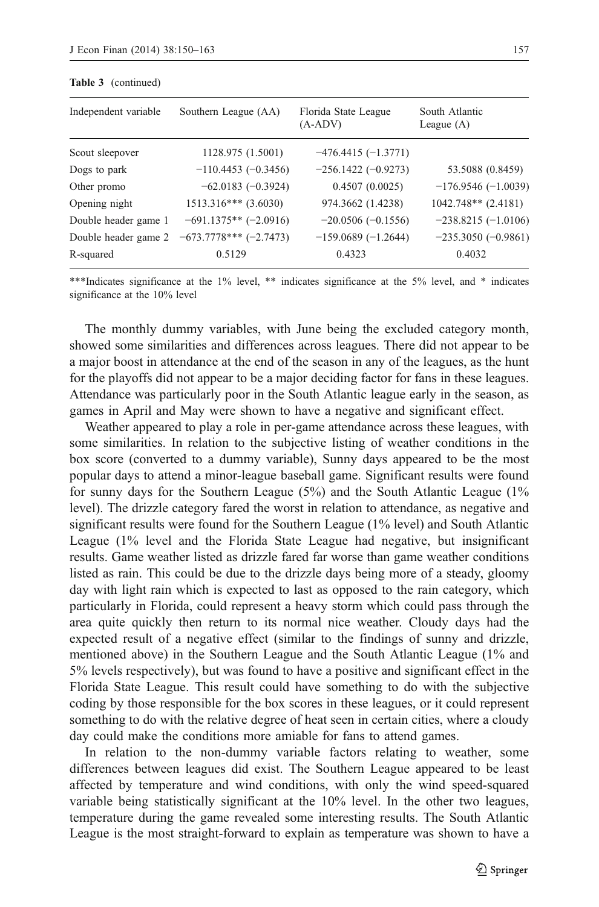| Independent variable | Southern League (AA)       | Florida State League<br>$(A-ADV)$ | South Atlantic<br>League $(A)$ |
|----------------------|----------------------------|-----------------------------------|--------------------------------|
| Scout sleepover      | 1128.975 (1.5001)          | $-476.4415(-1.3771)$              |                                |
| Dogs to park         | $-110.4453(-0.3456)$       | $-256.1422$ (-0.9273)             | 53.5088 (0.8459)               |
| Other promo          | $-62.0183(-0.3924)$        | 0.4507(0.0025)                    | $-176.9546(-1.0039)$           |
| Opening night        | $1513.316***$ (3.6030)     | 974.3662 (1.4238)                 | $1042.748**$ (2.4181)          |
| Double header game 1 | $-691.1375**(-2.0916)$     | $-20.0506(-0.1556)$               | $-238.8215(-1.0106)$           |
| Double header game 2 | $-673.7778***$ $(-2.7473)$ | $-159.0689(-1.2644)$              | $-235.3050(-0.9861)$           |
| R-squared            | 0.5129                     | 0.4323                            | 0.4032                         |

#### Table 3 (continued)

\*\*\*Indicates significance at the 1% level, \*\* indicates significance at the 5% level, and \* indicates significance at the 10% level

The monthly dummy variables, with June being the excluded category month, showed some similarities and differences across leagues. There did not appear to be a major boost in attendance at the end of the season in any of the leagues, as the hunt for the playoffs did not appear to be a major deciding factor for fans in these leagues. Attendance was particularly poor in the South Atlantic league early in the season, as games in April and May were shown to have a negative and significant effect.

Weather appeared to play a role in per-game attendance across these leagues, with some similarities. In relation to the subjective listing of weather conditions in the box score (converted to a dummy variable), Sunny days appeared to be the most popular days to attend a minor-league baseball game. Significant results were found for sunny days for the Southern League (5%) and the South Atlantic League (1% level). The drizzle category fared the worst in relation to attendance, as negative and significant results were found for the Southern League (1% level) and South Atlantic League (1% level and the Florida State League had negative, but insignificant results. Game weather listed as drizzle fared far worse than game weather conditions listed as rain. This could be due to the drizzle days being more of a steady, gloomy day with light rain which is expected to last as opposed to the rain category, which particularly in Florida, could represent a heavy storm which could pass through the area quite quickly then return to its normal nice weather. Cloudy days had the expected result of a negative effect (similar to the findings of sunny and drizzle, mentioned above) in the Southern League and the South Atlantic League (1% and 5% levels respectively), but was found to have a positive and significant effect in the Florida State League. This result could have something to do with the subjective coding by those responsible for the box scores in these leagues, or it could represent something to do with the relative degree of heat seen in certain cities, where a cloudy day could make the conditions more amiable for fans to attend games.

In relation to the non-dummy variable factors relating to weather, some differences between leagues did exist. The Southern League appeared to be least affected by temperature and wind conditions, with only the wind speed-squared variable being statistically significant at the 10% level. In the other two leagues, temperature during the game revealed some interesting results. The South Atlantic League is the most straight-forward to explain as temperature was shown to have a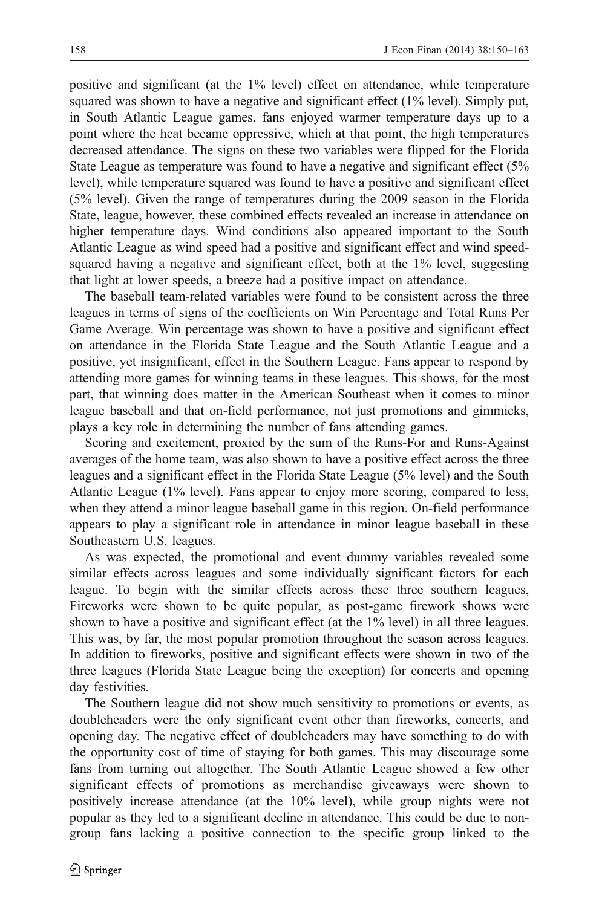positive and significant (at the 1% level) effect on attendance, while temperature squared was shown to have a negative and significant effect (1% level). Simply put, in South Atlantic League games, fans enjoyed warmer temperature days up to a point where the heat became oppressive, which at that point, the high temperatures decreased attendance. The signs on these two variables were flipped for the Florida State League as temperature was found to have a negative and significant effect (5% level), while temperature squared was found to have a positive and significant effect (5% level). Given the range of temperatures during the 2009 season in the Florida State, league, however, these combined effects revealed an increase in attendance on higher temperature days. Wind conditions also appeared important to the South Atlantic League as wind speed had a positive and significant effect and wind speedsquared having a negative and significant effect, both at the 1% level, suggesting that light at lower speeds, a breeze had a positive impact on attendance.

The baseball team-related variables were found to be consistent across the three leagues in terms of signs of the coefficients on Win Percentage and Total Runs Per Game Average. Win percentage was shown to have a positive and significant effect on attendance in the Florida State League and the South Atlantic League and a positive, yet insignificant, effect in the Southern League. Fans appear to respond by attending more games for winning teams in these leagues. This shows, for the most part, that winning does matter in the American Southeast when it comes to minor league baseball and that on-field performance, not just promotions and gimmicks, plays a key role in determining the number of fans attending games.

Scoring and excitement, proxied by the sum of the Runs-For and Runs-Against averages of the home team, was also shown to have a positive effect across the three leagues and a significant effect in the Florida State League (5% level) and the South Atlantic League (1% level). Fans appear to enjoy more scoring, compared to less, when they attend a minor league baseball game in this region. On-field performance appears to play a significant role in attendance in minor league baseball in these Southeastern U.S. leagues.

As was expected, the promotional and event dummy variables revealed some similar effects across leagues and some individually significant factors for each league. To begin with the similar effects across these three southern leagues, Fireworks were shown to be quite popular, as post-game firework shows were shown to have a positive and significant effect (at the 1% level) in all three leagues. This was, by far, the most popular promotion throughout the season across leagues. In addition to fireworks, positive and significant effects were shown in two of the three leagues (Florida State League being the exception) for concerts and opening day festivities.

The Southern league did not show much sensitivity to promotions or events, as doubleheaders were the only significant event other than fireworks, concerts, and opening day. The negative effect of doubleheaders may have something to do with the opportunity cost of time of staying for both games. This may discourage some fans from turning out altogether. The South Atlantic League showed a few other significant effects of promotions as merchandise giveaways were shown to positively increase attendance (at the 10% level), while group nights were not popular as they led to a significant decline in attendance. This could be due to nongroup fans lacking a positive connection to the specific group linked to the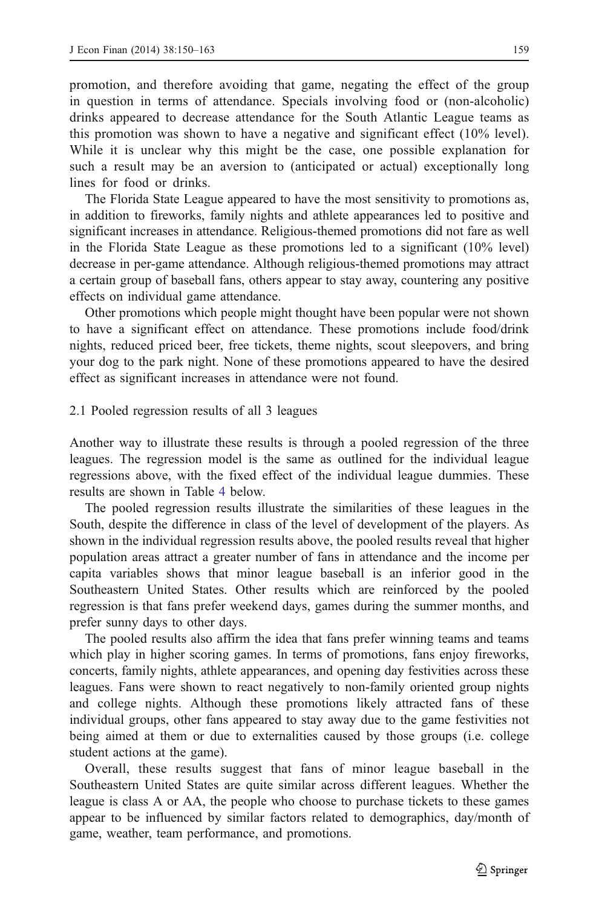promotion, and therefore avoiding that game, negating the effect of the group in question in terms of attendance. Specials involving food or (non-alcoholic) drinks appeared to decrease attendance for the South Atlantic League teams as this promotion was shown to have a negative and significant effect (10% level). While it is unclear why this might be the case, one possible explanation for such a result may be an aversion to (anticipated or actual) exceptionally long lines for food or drinks.

The Florida State League appeared to have the most sensitivity to promotions as, in addition to fireworks, family nights and athlete appearances led to positive and significant increases in attendance. Religious-themed promotions did not fare as well in the Florida State League as these promotions led to a significant (10% level) decrease in per-game attendance. Although religious-themed promotions may attract a certain group of baseball fans, others appear to stay away, countering any positive effects on individual game attendance.

Other promotions which people might thought have been popular were not shown to have a significant effect on attendance. These promotions include food/drink nights, reduced priced beer, free tickets, theme nights, scout sleepovers, and bring your dog to the park night. None of these promotions appeared to have the desired effect as significant increases in attendance were not found.

2.1 Pooled regression results of all 3 leagues

Another way to illustrate these results is through a pooled regression of the three leagues. The regression model is the same as outlined for the individual league regressions above, with the fixed effect of the individual league dummies. These results are shown in Table [4](#page-10-0) below.

The pooled regression results illustrate the similarities of these leagues in the South, despite the difference in class of the level of development of the players. As shown in the individual regression results above, the pooled results reveal that higher population areas attract a greater number of fans in attendance and the income per capita variables shows that minor league baseball is an inferior good in the Southeastern United States. Other results which are reinforced by the pooled regression is that fans prefer weekend days, games during the summer months, and prefer sunny days to other days.

The pooled results also affirm the idea that fans prefer winning teams and teams which play in higher scoring games. In terms of promotions, fans enjoy fireworks, concerts, family nights, athlete appearances, and opening day festivities across these leagues. Fans were shown to react negatively to non-family oriented group nights and college nights. Although these promotions likely attracted fans of these individual groups, other fans appeared to stay away due to the game festivities not being aimed at them or due to externalities caused by those groups (i.e. college student actions at the game).

Overall, these results suggest that fans of minor league baseball in the Southeastern United States are quite similar across different leagues. Whether the league is class A or AA, the people who choose to purchase tickets to these games appear to be influenced by similar factors related to demographics, day/month of game, weather, team performance, and promotions.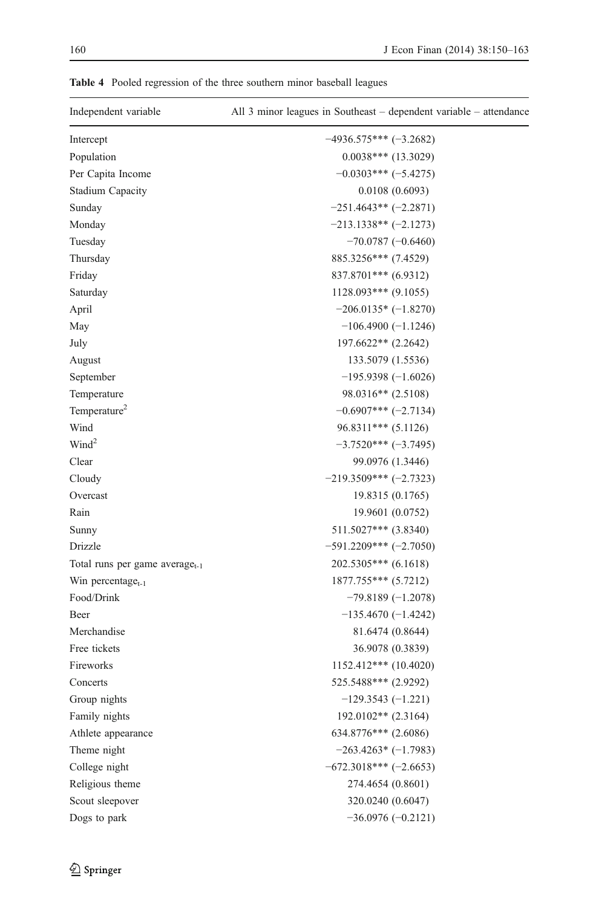| Independent variable                       | All 3 minor leagues in Southeast – dependent variable – attendance |
|--------------------------------------------|--------------------------------------------------------------------|
| Intercept                                  | $-4936.575***(-3.2682)$                                            |
| Population                                 | $0.0038***$ (13.3029)                                              |
| Per Capita Income                          | $-0.0303***$ (-5.4275)                                             |
| <b>Stadium Capacity</b>                    | 0.0108(0.6093)                                                     |
| Sunday                                     | $-251.4643**(-2.2871)$                                             |
| Monday                                     | $-213.1338**(-2.1273)$                                             |
| Tuesday                                    | $-70.0787(-0.6460)$                                                |
| Thursday                                   | 885.3256*** (7.4529)                                               |
| Friday                                     | 837.8701*** (6.9312)                                               |
| Saturday                                   | $1128.093***$ (9.1055)                                             |
| April                                      | $-206.0135*(-1.8270)$                                              |
| May                                        | $-106.4900(-1.1246)$                                               |
| July                                       | 197.6622** (2.2642)                                                |
| August                                     | 133.5079 (1.5536)                                                  |
| September                                  | $-195.9398(-1.6026)$                                               |
| Temperature                                | 98.0316** (2.5108)                                                 |
| Temperature <sup>2</sup>                   | $-0.6907***$ (-2.7134)                                             |
| Wind                                       | 96.8311*** (5.1126)                                                |
| Wind <sup>2</sup>                          | $-3.7520***(-3.7495)$                                              |
| Clear                                      | 99.0976 (1.3446)                                                   |
| Cloudy                                     | $-219.3509***(-2.7323)$                                            |
| Overcast                                   | 19.8315 (0.1765)                                                   |
| Rain                                       | 19.9601 (0.0752)                                                   |
| Sunny                                      | 511.5027*** (3.8340)                                               |
| Drizzle                                    | $-591.2209***(-2.7050)$                                            |
| Total runs per game average <sub>t-1</sub> | $202.5305***$ (6.1618)                                             |
| Win percentage $_{t-1}$                    | $1877.755***(5.7212)$                                              |
| Food/Drink                                 | $-79.8189(-1.2078)$                                                |
| Beer                                       | $-135.4670(-1.4242)$                                               |
| Merchandise                                | 81.6474 (0.8644)                                                   |
| Free tickets                               | 36.9078 (0.3839)                                                   |
| Fireworks                                  | $1152.412***$ $(10.4020)$                                          |
| Concerts                                   | 525.5488*** (2.9292)                                               |
| Group nights                               | $-129.3543(-1.221)$                                                |
| Family nights                              | 192.0102** (2.3164)                                                |
| Athlete appearance                         | 634.8776*** (2.6086)                                               |
| Theme night                                | $-263.4263$ * (-1.7983)                                            |
| College night                              | $-672.3018***(-2.6653)$                                            |
| Religious theme                            | 274.4654 (0.8601)                                                  |
| Scout sleepover                            | 320.0240 (0.6047)                                                  |
| Dogs to park                               | $-36.0976(-0.2121)$                                                |

<span id="page-10-0"></span>Table 4 Pooled regression of the three southern minor baseball leagues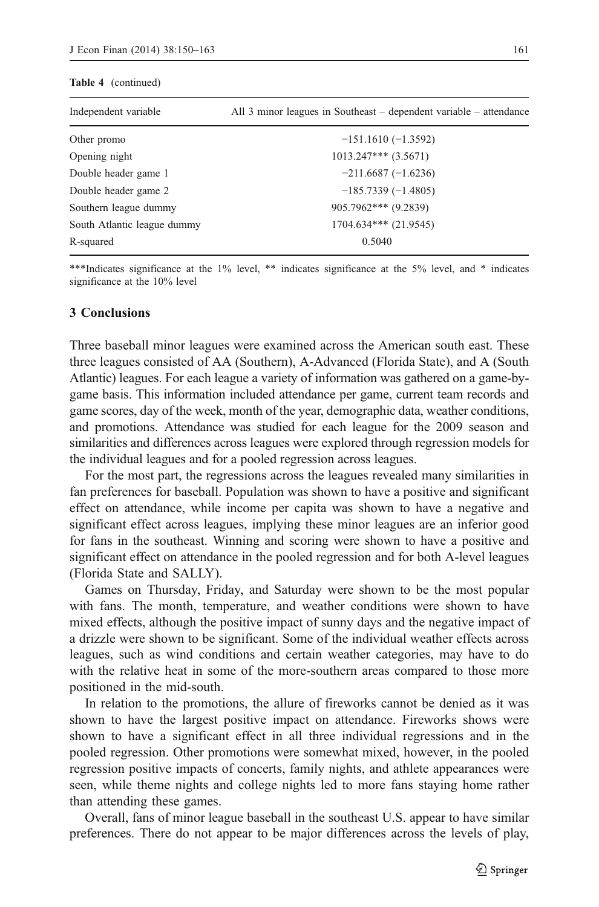|  |  | Table 4 (continued) |  |
|--|--|---------------------|--|
|--|--|---------------------|--|

| Independent variable        | All 3 minor leagues in Southeast – dependent variable – attendance |
|-----------------------------|--------------------------------------------------------------------|
| Other promo                 | $-151.1610(-1.3592)$                                               |
| Opening night               | $1013.247***$ $(3.5671)$                                           |
| Double header game 1        | $-211.6687(-1.6236)$                                               |
| Double header game 2        | $-185.7339(-1.4805)$                                               |
| Southern league dummy       | 905.7962*** (9.2839)                                               |
| South Atlantic league dummy | 1704.634*** (21.9545)                                              |
| R-squared                   | 0.5040                                                             |

\*\*\*Indicates significance at the 1% level, \*\* indicates significance at the 5% level, and \* indicates significance at the 10% level

### 3 Conclusions

Three baseball minor leagues were examined across the American south east. These three leagues consisted of AA (Southern), A-Advanced (Florida State), and A (South Atlantic) leagues. For each league a variety of information was gathered on a game-bygame basis. This information included attendance per game, current team records and game scores, day of the week, month of the year, demographic data, weather conditions, and promotions. Attendance was studied for each league for the 2009 season and similarities and differences across leagues were explored through regression models for the individual leagues and for a pooled regression across leagues.

For the most part, the regressions across the leagues revealed many similarities in fan preferences for baseball. Population was shown to have a positive and significant effect on attendance, while income per capita was shown to have a negative and significant effect across leagues, implying these minor leagues are an inferior good for fans in the southeast. Winning and scoring were shown to have a positive and significant effect on attendance in the pooled regression and for both A-level leagues (Florida State and SALLY).

Games on Thursday, Friday, and Saturday were shown to be the most popular with fans. The month, temperature, and weather conditions were shown to have mixed effects, although the positive impact of sunny days and the negative impact of a drizzle were shown to be significant. Some of the individual weather effects across leagues, such as wind conditions and certain weather categories, may have to do with the relative heat in some of the more-southern areas compared to those more positioned in the mid-south.

In relation to the promotions, the allure of fireworks cannot be denied as it was shown to have the largest positive impact on attendance. Fireworks shows were shown to have a significant effect in all three individual regressions and in the pooled regression. Other promotions were somewhat mixed, however, in the pooled regression positive impacts of concerts, family nights, and athlete appearances were seen, while theme nights and college nights led to more fans staying home rather than attending these games.

Overall, fans of minor league baseball in the southeast U.S. appear to have similar preferences. There do not appear to be major differences across the levels of play,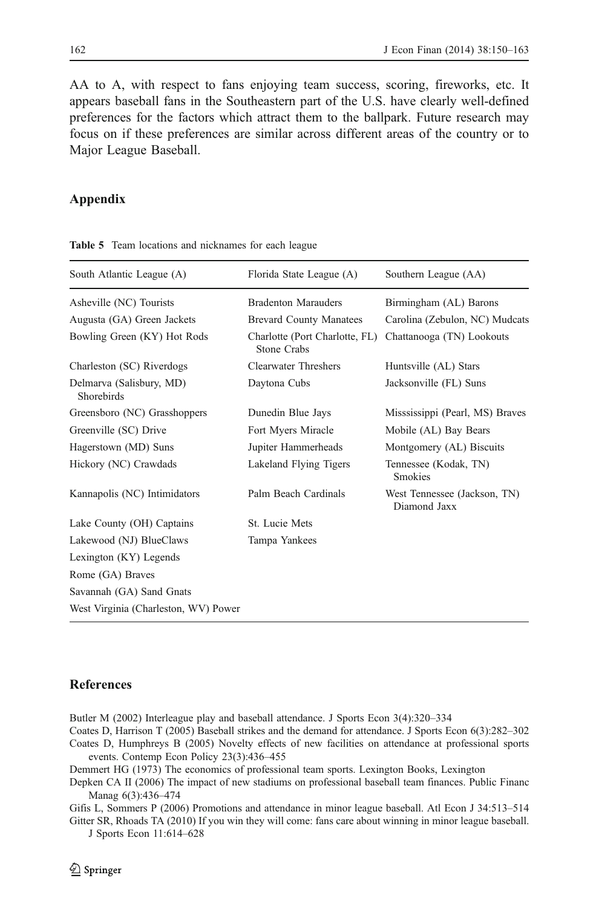<span id="page-12-0"></span>AA to A, with respect to fans enjoying team success, scoring, fireworks, etc. It appears baseball fans in the Southeastern part of the U.S. have clearly well-defined preferences for the factors which attract them to the ballpark. Future research may focus on if these preferences are similar across different areas of the country or to Major League Baseball.

### Appendix

| South Atlantic League (A)              | Florida State League (A)                      | Southern League (AA)                         |
|----------------------------------------|-----------------------------------------------|----------------------------------------------|
| Asheville (NC) Tourists                | <b>Bradenton Marauders</b>                    | Birmingham (AL) Barons                       |
| Augusta (GA) Green Jackets             | <b>Brevard County Manatees</b>                | Carolina (Zebulon, NC) Mudcats               |
| Bowling Green (KY) Hot Rods            | Charlotte (Port Charlotte, FL)<br>Stone Crabs | Chattanooga (TN) Lookouts                    |
| Charleston (SC) Riverdogs              | <b>Clearwater Threshers</b>                   | Huntsville (AL) Stars                        |
| Delmarva (Salisbury, MD)<br>Shorebirds | Daytona Cubs                                  | Jacksonville (FL) Suns                       |
| Greensboro (NC) Grasshoppers           | Dunedin Blue Jays                             | Misssissippi (Pearl, MS) Braves              |
| Greenville (SC) Drive                  | Fort Myers Miracle                            | Mobile (AL) Bay Bears                        |
| Hagerstown (MD) Suns                   | Jupiter Hammerheads                           | Montgomery (AL) Biscuits                     |
| Hickory (NC) Crawdads                  | Lakeland Flying Tigers                        | Tennessee (Kodak, TN)<br><b>Smokies</b>      |
| Kannapolis (NC) Intimidators           | Palm Beach Cardinals                          | West Tennessee (Jackson, TN)<br>Diamond Jaxx |
| Lake County (OH) Captains              | St. Lucie Mets                                |                                              |
| Lakewood (NJ) BlueClaws                | Tampa Yankees                                 |                                              |
| Lexington (KY) Legends                 |                                               |                                              |
| Rome (GA) Braves                       |                                               |                                              |
| Savannah (GA) Sand Gnats               |                                               |                                              |
| West Virginia (Charleston, WV) Power   |                                               |                                              |

Table 5 Team locations and nicknames for each league

## **References**

Butler M (2002) Interleague play and baseball attendance. J Sports Econ 3(4):320–334

Coates D, Harrison T (2005) Baseball strikes and the demand for attendance. J Sports Econ 6(3):282–302 Coates D, Humphreys B (2005) Novelty effects of new facilities on attendance at professional sports events. Contemp Econ Policy 23(3):436–455

Demmert HG (1973) The economics of professional team sports. Lexington Books, Lexington

Depken CA II (2006) The impact of new stadiums on professional baseball team finances. Public Financ Manag 6(3):436–474

Gifis L, Sommers P (2006) Promotions and attendance in minor league baseball. Atl Econ J 34:513–514 Gitter SR, Rhoads TA (2010) If you win they will come: fans care about winning in minor league baseball.

J Sports Econ 11:614–628